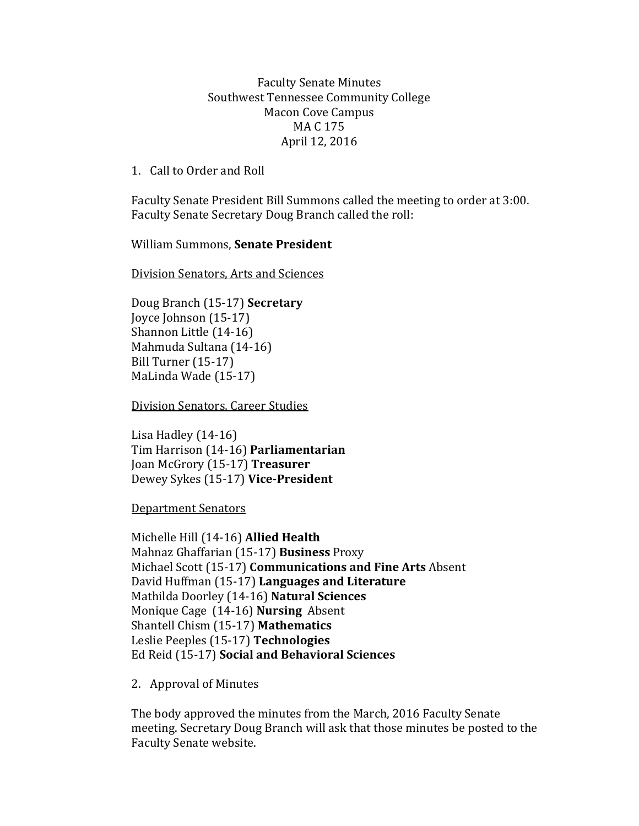## Faculty Senate Minutes Southwest Tennessee Community College Macon Cove Campus MA C 175 April 12, 2016

1. Call to Order and Roll

Faculty Senate President Bill Summons called the meeting to order at 3:00. Faculty Senate Secretary Doug Branch called the roll:

## William Summons, **Senate President**

Division Senators, Arts and Sciences

Doug Branch (15-17) **Secretary** Joyce Johnson (15-17) Shannon Little (14-16) Mahmuda Sultana (14-16) Bill Turner (15-17) MaLinda Wade (15-17)

Division Senators, Career Studies

Lisa Hadley (14-16) Tim Harrison (14-16) **Parliamentarian** Joan McGrory (15-17) **Treasurer** Dewey Sykes (15-17) **Vice-President**

Department Senators

Michelle Hill (14-16) **Allied Health** Mahnaz Ghaffarian (15-17) **Business** Proxy Michael Scott (15-17) **Communications and Fine Arts** Absent David Huffman (15-17) **Languages and Literature** Mathilda Doorley (14-16) **Natural Sciences** Monique Cage (14-16) **Nursing** Absent Shantell Chism (15-17) **Mathematics** Leslie Peeples (15-17) **Technologies**  Ed Reid (15-17) **Social and Behavioral Sciences**

2. Approval of Minutes

The body approved the minutes from the March, 2016 Faculty Senate meeting. Secretary Doug Branch will ask that those minutes be posted to the Faculty Senate website.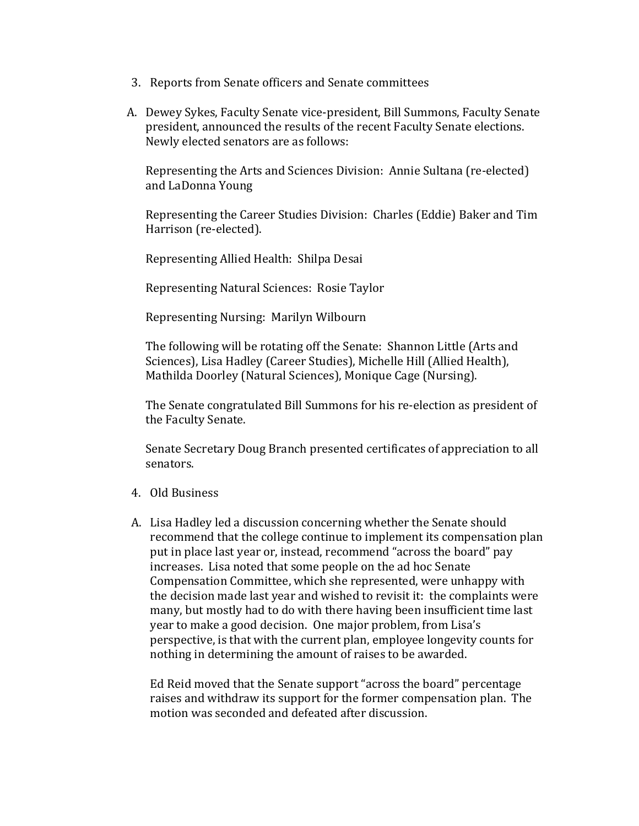- 3. Reports from Senate officers and Senate committees
- A. Dewey Sykes, Faculty Senate vice-president, Bill Summons, Faculty Senate president, announced the results of the recent Faculty Senate elections. Newly elected senators are as follows:

Representing the Arts and Sciences Division: Annie Sultana (re-elected) and LaDonna Young

Representing the Career Studies Division: Charles (Eddie) Baker and Tim Harrison (re-elected).

Representing Allied Health: Shilpa Desai

Representing Natural Sciences: Rosie Taylor

Representing Nursing: Marilyn Wilbourn

The following will be rotating off the Senate: Shannon Little (Arts and Sciences), Lisa Hadley (Career Studies), Michelle Hill (Allied Health), Mathilda Doorley (Natural Sciences), Monique Cage (Nursing).

The Senate congratulated Bill Summons for his re-election as president of the Faculty Senate.

Senate Secretary Doug Branch presented certificates of appreciation to all senators.

- 4. Old Business
- A. Lisa Hadley led a discussion concerning whether the Senate should recommend that the college continue to implement its compensation plan put in place last year or, instead, recommend "across the board" pay increases. Lisa noted that some people on the ad hoc Senate Compensation Committee, which she represented, were unhappy with the decision made last year and wished to revisit it: the complaints were many, but mostly had to do with there having been insufficient time last year to make a good decision. One major problem, from Lisa's perspective, is that with the current plan, employee longevity counts for nothing in determining the amount of raises to be awarded.

Ed Reid moved that the Senate support "across the board" percentage raises and withdraw its support for the former compensation plan. The motion was seconded and defeated after discussion.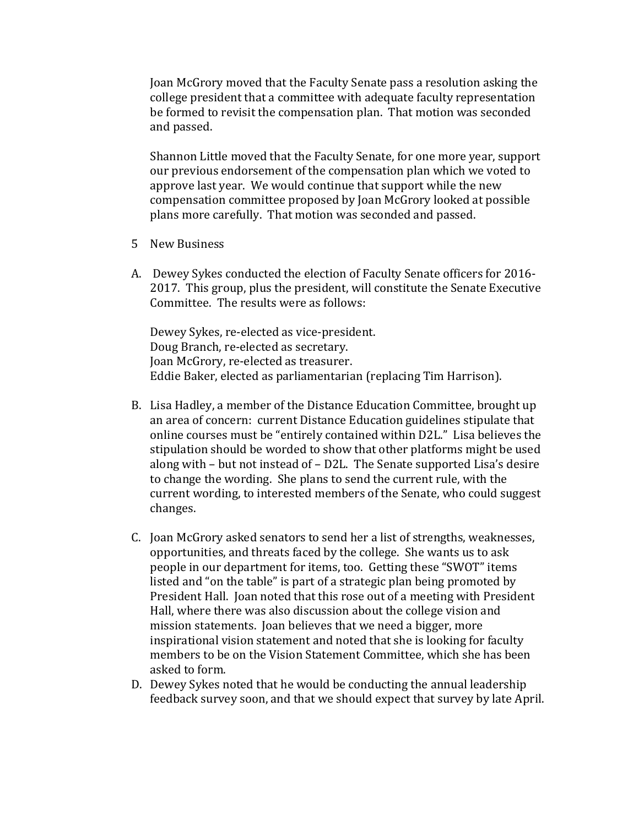Joan McGrory moved that the Faculty Senate pass a resolution asking the college president that a committee with adequate faculty representation be formed to revisit the compensation plan. That motion was seconded and passed.

Shannon Little moved that the Faculty Senate, for one more year, support our previous endorsement of the compensation plan which we voted to approve last year. We would continue that support while the new compensation committee proposed by Joan McGrory looked at possible plans more carefully. That motion was seconded and passed.

- 5 New Business
- A. Dewey Sykes conducted the election of Faculty Senate officers for 2016- 2017. This group, plus the president, will constitute the Senate Executive Committee. The results were as follows:

Dewey Sykes, re-elected as vice-president. Doug Branch, re-elected as secretary. Joan McGrory, re-elected as treasurer. Eddie Baker, elected as parliamentarian (replacing Tim Harrison).

- B. Lisa Hadley, a member of the Distance Education Committee, brought up an area of concern: current Distance Education guidelines stipulate that online courses must be "entirely contained within D2L." Lisa believes the stipulation should be worded to show that other platforms might be used along with – but not instead of – D2L. The Senate supported Lisa's desire to change the wording. She plans to send the current rule, with the current wording, to interested members of the Senate, who could suggest changes.
- C. Joan McGrory asked senators to send her a list of strengths, weaknesses, opportunities, and threats faced by the college. She wants us to ask people in our department for items, too. Getting these "SWOT" items listed and "on the table" is part of a strategic plan being promoted by President Hall. Joan noted that this rose out of a meeting with President Hall, where there was also discussion about the college vision and mission statements. Joan believes that we need a bigger, more inspirational vision statement and noted that she is looking for faculty members to be on the Vision Statement Committee, which she has been asked to form.
- D. Dewey Sykes noted that he would be conducting the annual leadership feedback survey soon, and that we should expect that survey by late April.